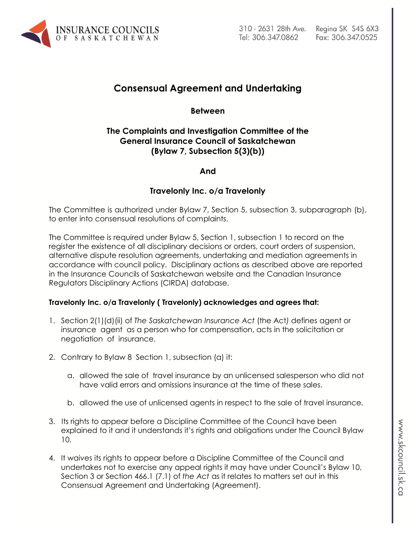

# **Consensual Agreement and Undertaking**

### **Between**

## **The Complaints and Investigation Committee of the General Insurance Council of Saskatchewan (Bylaw 7, Subsection 5(3)(b))**

#### **And**

#### **Travelonly Inc. o/a Travelonly**

The Committee is authorized under Bylaw 7, Section 5, subsection 3, subparagraph (b), to enter into consensual resolutions of complaints.

The Committee is required under Bylaw 5, Section 1, subsection 1 to record on the register the existence of all disciplinary decisions or orders, court orders of suspension, alternative dispute resolution agreements, undertaking and mediation agreements in accordance with council policy. Disciplinary actions as described above are reported in the Insurance Councils of Saskatchewan website and the Canadian Insurance Regulators Disciplinary Actions (CIRDA) database.

#### **Travelonly Inc. o/a Travelonly ( Travelonly) acknowledges and agrees that:**

- 1. Section 2(1)(d)(ii) of *The Saskatchewan Insurance Act* (the Act*)* defines agent or insurance agent as a person who for compensation, acts in the solicitation or negotiation of insurance.
- 2. Contrary to Bylaw 8 Section 1, subsection (a) it:
	- a. allowed the sale of travel insurance by an unlicensed salesperson who did not have valid errors and omissions insurance at the time of these sales.
	- b. allowed the use of unlicensed agents in respect to the sale of travel insurance.
- 3. Its rights to appear before a Discipline Committee of the Council have been explained to it and it understands it's rights and obligations under the Council Bylaw 10.
- 4. It waives its rights to appear before a Discipline Committee of the Council and undertakes not to exercise any appeal rights it may have under Council's Bylaw 10, Section 3 or Section 466.1 (7.1) of *the Act* as it relates to matters set out in this Consensual Agreement and Undertaking (Agreement).